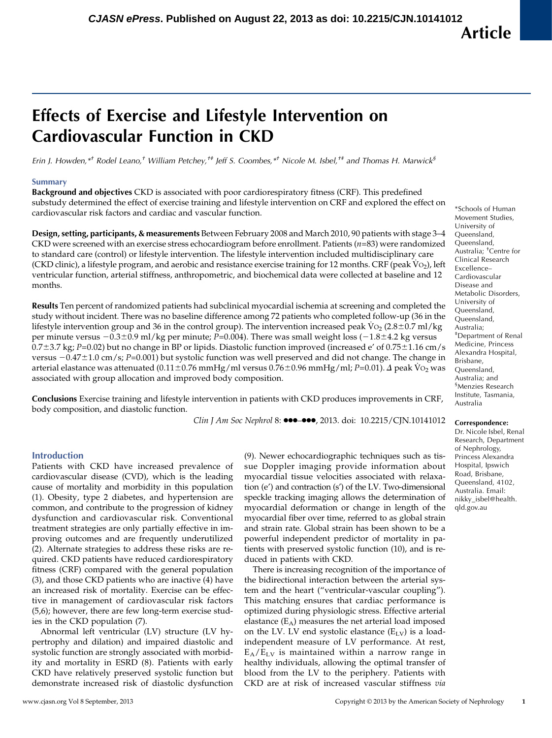# Effects of Exercise and Lifestyle Intervention on Cardiovascular Function in CKD

Erin J. Howden,\*† Rodel Leano,† William Petchey,†‡ Jeff S. Coombes,\*† Nicole M. Isbel,†‡ and Thomas H. Marwick§

# Summary

Background and objectives CKD is associated with poor cardiorespiratory fitness (CRF). This predefined substudy determined the effect of exercise training and lifestyle intervention on CRF and explored the effect on cardiovascular risk factors and cardiac and vascular function.

Design, setting, participants, & measurements Between February 2008 and March 2010, 90 patients with stage 3–4 CKD were screened with an exercise stress echocardiogram before enrollment. Patients  $(n=83)$  were randomized to standard care (control) or lifestyle intervention. The lifestyle intervention included multidisciplinary care (CKD clinic), a lifestyle program, and aerobic and resistance exercise training for 12 months. CRF (peak  $\rm\bar{V}o_2$ ), left ventricular function, arterial stiffness, anthropometric, and biochemical data were collected at baseline and 12 months.

Results Ten percent of randomized patients had subclinical myocardial ischemia at screening and completed the study without incident. There was no baseline difference among 72 patients who completed follow-up (36 in the lifestyle intervention group and 36 in the control group). The intervention increased peak V $O<sub>2</sub>$  (2.8±0.7 ml/kg) per minute versus  $-0.3\pm0.9$  ml/kg per minute; P=0.004). There was small weight loss ( $-1.8\pm4.2$  kg versus  $0.7\pm3.7$  kg; P=0.02) but no change in BP or lipids. Diastolic function improved (increased e' of 0.75 $\pm1.16$  cm/s versus  $-0.47\pm1.0$  cm/s; P=0.001) but systolic function was well preserved and did not change. The change in arterial elastance was attenuated (0.11±0.76 mmHg/ml versus 0.76±0.96 mmHg/ml; P=0.01).  $\Delta$  peak V<sub>O2</sub> was associated with group allocation and improved body composition.

Conclusions Exercise training and lifestyle intervention in patients with CKD produces improvements in CRF, body composition, and diastolic function.

Clin J Am Soc Nephrol 8:  $\bullet \bullet \bullet \bullet \bullet$ , 2013. doi: 10.2215/CJN.10141012

# **Introduction**

Patients with CKD have increased prevalence of cardiovascular disease (CVD), which is the leading cause of mortality and morbidity in this population (1). Obesity, type 2 diabetes, and hypertension are common, and contribute to the progression of kidney dysfunction and cardiovascular risk. Conventional treatment strategies are only partially effective in improving outcomes and are frequently underutilized (2). Alternate strategies to address these risks are required. CKD patients have reduced cardiorespiratory fitness (CRF) compared with the general population (3), and those CKD patients who are inactive (4) have an increased risk of mortality. Exercise can be effective in management of cardiovascular risk factors (5,6); however, there are few long-term exercise studies in the CKD population (7).

Abnormal left ventricular (LV) structure (LV hypertrophy and dilation) and impaired diastolic and systolic function are strongly associated with morbidity and mortality in ESRD (8). Patients with early CKD have relatively preserved systolic function but demonstrate increased risk of diastolic dysfunction

(9). Newer echocardiographic techniques such as tissue Doppler imaging provide information about myocardial tissue velocities associated with relaxation (e') and contraction (s') of the LV. Two-dimensional speckle tracking imaging allows the determination of myocardial deformation or change in length of the myocardial fiber over time, referred to as global strain and strain rate. Global strain has been shown to be a powerful independent predictor of mortality in patients with preserved systolic function (10), and is reduced in patients with CKD.

There is increasing recognition of the importance of the bidirectional interaction between the arterial system and the heart ("ventricular-vascular coupling"). This matching ensures that cardiac performance is optimized during physiologic stress. Effective arterial elastance  $(E_A)$  measures the net arterial load imposed on the LV. LV end systolic elastance  $(E_{LN})$  is a loadindependent measure of LV performance. At rest,  $E_A/E_{LV}$  is maintained within a narrow range in healthy individuals, allowing the optimal transfer of blood from the LV to the periphery. Patients with CKD are at risk of increased vascular stiffness via

\*Schools of Human Movement Studies, University of Queensland, Queensland, Australia; † Centre for Clinical Research Excellence– Cardiovascular Disease and Metabolic Disorders, University of Queensland, Queensland, Australia; ‡ Department of Renal Medicine, Princess Alexandra Hospital, Brisbane, Queensland, Australia; and § Menzies Research Institute, Tasmania, Australia

#### Correspondence:

Dr. Nicole Isbel, Renal Research, Department of Nephrology, Princess Alexandra Hospital, Ipswich Road, Brisbane, Queensland, 4102, Australia. Email: [nikky\\_isbel@health.](mailto:nikky_isbel@health.qld.gov.au) [qld.gov.au](mailto:nikky_isbel@health.qld.gov.au)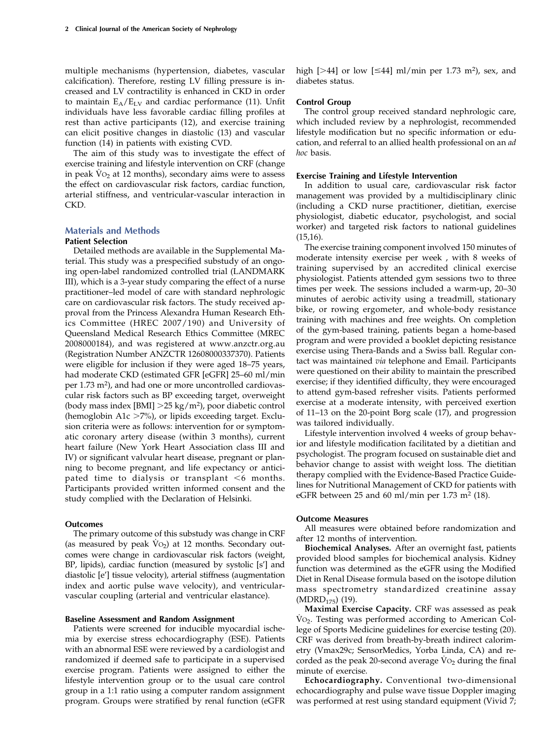multiple mechanisms (hypertension, diabetes, vascular calcification). Therefore, resting LV filling pressure is increased and LV contractility is enhanced in CKD in order to maintain  $E_A/E_{LV}$  and cardiac performance (11). Unfit individuals have less favorable cardiac filling profiles at rest than active participants (12), and exercise training can elicit positive changes in diastolic (13) and vascular function (14) in patients with existing CVD.

The aim of this study was to investigate the effect of exercise training and lifestyle intervention on CRF (change in peak  $\overline{V}o_2$  at 12 months), secondary aims were to assess the effect on cardiovascular risk factors, cardiac function, arterial stiffness, and ventricular-vascular interaction in CKD.

## Materials and Methods

#### Patient Selection

Detailed methods are available in the [Supplemental Ma](http://cjasn.asnjournals.org/lookup/suppl/doi:10.2215/CJN.10141012/-/DCSupplemental)[terial](http://cjasn.asnjournals.org/lookup/suppl/doi:10.2215/CJN.10141012/-/DCSupplemental). This study was a prespecified substudy of an ongoing open-label randomized controlled trial (LANDMARK III), which is a 3-year study comparing the effect of a nurse practitioner–led model of care with standard nephrologic care on cardiovascular risk factors. The study received approval from the Princess Alexandra Human Research Ethics Committee (HREC 2007/190) and University of Queensland Medical Research Ethics Committee (MREC 2008000184), and was registered at [www.anzctr.org.au](http://www.anzctr.org.au) (Registration Number ANZCTR 12608000337370). Patients were eligible for inclusion if they were aged 18–75 years, had moderate CKD (estimated GFR [eGFR] 25–60 ml/min per 1.73 m<sup>2</sup>), and had one or more uncontrolled cardiovascular risk factors such as BP exceeding target, overweight (body mass index [BMI]  $>$  25 kg/m<sup>2</sup>), poor diabetic control (hemoglobin A1 $c > 7\%$ ), or lipids exceeding target. Exclusion criteria were as follows: intervention for or symptomatic coronary artery disease (within 3 months), current heart failure (New York Heart Association class III and IV) or significant valvular heart disease, pregnant or planning to become pregnant, and life expectancy or anticipated time to dialysis or transplant  $\leq 6$  months. Participants provided written informed consent and the study complied with the Declaration of Helsinki.

# **Outcomes**

The primary outcome of this substudy was change in CRF (as measured by peak  $\dot{V}O_2$ ) at 12 months. Secondary outcomes were change in cardiovascular risk factors (weight, BP, lipids), cardiac function (measured by systolic [s'] and diastolic [e'] tissue velocity), arterial stiffness (augmentation index and aortic pulse wave velocity), and ventricularvascular coupling (arterial and ventricular elastance).

### Baseline Assessment and Random Assignment

Patients were screened for inducible myocardial ischemia by exercise stress echocardiography (ESE). Patients with an abnormal ESE were reviewed by a cardiologist and randomized if deemed safe to participate in a supervised exercise program. Patients were assigned to either the lifestyle intervention group or to the usual care control group in a 1:1 ratio using a computer random assignment program. Groups were stratified by renal function (eGFR high [ $>44$ ] or low [ $\leq 44$ ] ml/min per 1.73 m<sup>2</sup>), sex, and diabetes status.

## Control Group

The control group received standard nephrologic care, which included review by a nephrologist, recommended lifestyle modification but no specific information or education, and referral to an allied health professional on an ad hoc basis.

### Exercise Training and Lifestyle Intervention

In addition to usual care, cardiovascular risk factor management was provided by a multidisciplinary clinic (including a CKD nurse practitioner, dietitian, exercise physiologist, diabetic educator, psychologist, and social worker) and targeted risk factors to national guidelines (15,16).

The exercise training component involved 150 minutes of moderate intensity exercise per week , with 8 weeks of training supervised by an accredited clinical exercise physiologist. Patients attended gym sessions two to three times per week. The sessions included a warm-up, 20–30 minutes of aerobic activity using a treadmill, stationary bike, or rowing ergometer, and whole-body resistance training with machines and free weights. On completion of the gym-based training, patients began a home-based program and were provided a booklet depicting resistance exercise using Thera-Bands and a Swiss ball. Regular contact was maintained via telephone and Email. Participants were questioned on their ability to maintain the prescribed exercise; if they identified difficulty, they were encouraged to attend gym-based refresher visits. Patients performed exercise at a moderate intensity, with perceived exertion of 11–13 on the 20-point Borg scale (17), and progression was tailored individually.

Lifestyle intervention involved 4 weeks of group behavior and lifestyle modification facilitated by a dietitian and psychologist. The program focused on sustainable diet and behavior change to assist with weight loss. The dietitian therapy complied with the Evidence-Based Practice Guidelines for Nutritional Management of CKD for patients with eGFR between 25 and 60 ml/min per 1.73 m<sup>2</sup> (18).

#### Outcome Measures

All measures were obtained before randomization and after 12 months of intervention.

Biochemical Analyses. After an overnight fast, patients provided blood samples for biochemical analysis. Kidney function was determined as the eGFR using the Modified Diet in Renal Disease formula based on the isotope dilution mass spectrometry standardized creatinine assay  $(MDRD_{175})$  (19).

Maximal Exercise Capacity. CRF was assessed as peak  $Vo_2$ . Testing was performed according to American College of Sports Medicine guidelines for exercise testing (20). CRF was derived from breath-by-breath indirect calorimetry (Vmax29c; SensorMedics, Yorba Linda, CA) and recorded as the peak 20-second average  $Vo_2$  during the final minute of exercise.

Echocardiography. Conventional two-dimensional echocardiography and pulse wave tissue Doppler imaging was performed at rest using standard equipment (Vivid 7;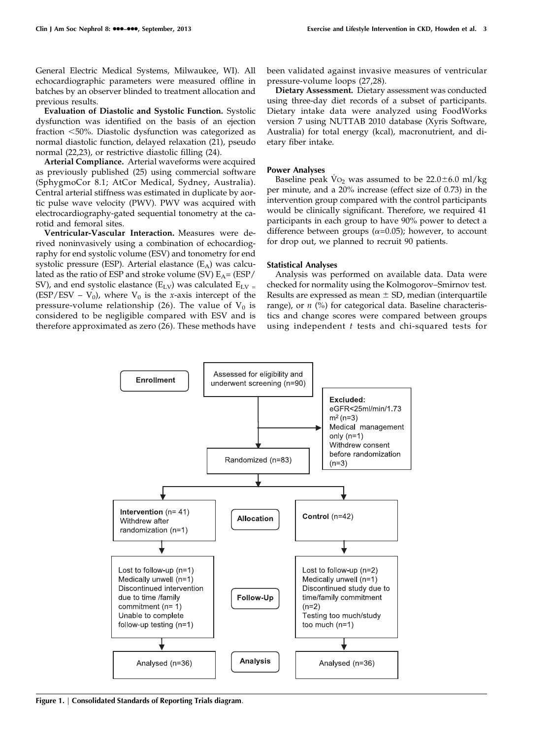General Electric Medical Systems, Milwaukee, WI). All echocardiographic parameters were measured offline in batches by an observer blinded to treatment allocation and previous results.

Evaluation of Diastolic and Systolic Function. Systolic dysfunction was identified on the basis of an ejection fraction <50%. Diastolic dysfunction was categorized as normal diastolic function, delayed relaxation (21), pseudo normal (22,23), or restrictive diastolic filling (24).

Arterial Compliance. Arterial waveforms were acquired as previously published (25) using commercial software (SphygmoCor 8.1; AtCor Medical, Sydney, Australia). Central arterial stiffness was estimated in duplicate by aortic pulse wave velocity (PWV). PWV was acquired with electrocardiography-gated sequential tonometry at the carotid and femoral sites.

Ventricular-Vascular Interaction. Measures were derived noninvasively using a combination of echocardiography for end systolic volume (ESV) and tonometry for end systolic pressure (ESP). Arterial elastance  $(E_A)$  was calculated as the ratio of ESP and stroke volume (SV)  $E_A = (ESP/$ SV), and end systolic elastance ( $E_{L,V}$ ) was calculated  $E_{L,V}$  = (ESP/ESV –  $V_0$ ), where  $V_0$  is the x-axis intercept of the pressure-volume relationship (26). The value of  $V_0$  is considered to be negligible compared with ESV and is therefore approximated as zero (26). These methods have

been validated against invasive measures of ventricular pressure-volume loops (27,28).

Dietary Assessment. Dietary assessment was conducted using three-day diet records of a subset of participants. Dietary intake data were analyzed using FoodWorks version 7 using NUTTAB 2010 database (Xyris Software, Australia) for total energy (kcal), macronutrient, and dietary fiber intake.

# Power Analyses

Baseline peak  $\rm\dot{V}o_{2}$  was assumed to be 22.0 $\pm$ 6.0 ml/kg per minute, and a 20% increase (effect size of 0.73) in the intervention group compared with the control participants would be clinically significant. Therefore, we required 41 participants in each group to have 90% power to detect a difference between groups ( $\alpha$ =0.05); however, to account for drop out, we planned to recruit 90 patients.

## Statistical Analyses

Analysis was performed on available data. Data were checked for normality using the Kolmogorov–Smirnov test. Results are expressed as mean  $\pm$  SD, median (interquartile range), or  $n$  (%) for categorical data. Baseline characteristics and change scores were compared between groups using independent  $t$  tests and chi-squared tests for

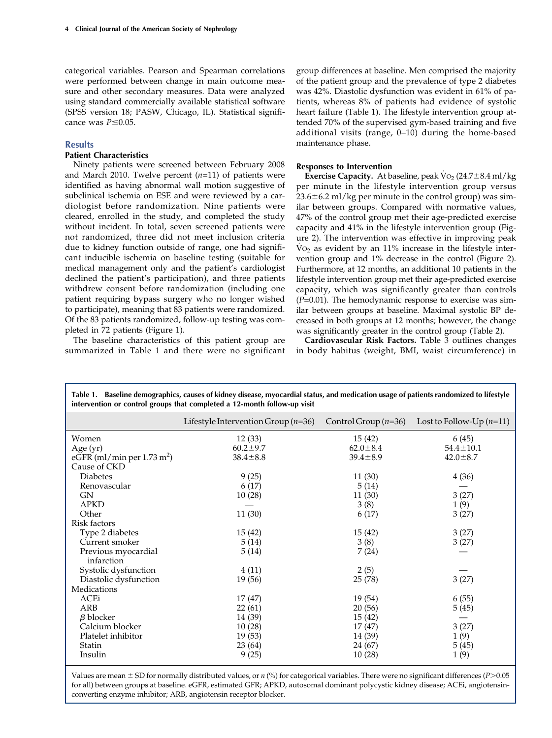categorical variables. Pearson and Spearman correlations were performed between change in main outcome measure and other secondary measures. Data were analyzed using standard commercially available statistical software (SPSS version 18; PASW, Chicago, IL). Statistical significance was  $P \le 0.05$ .

## **Results**

# Patient Characteristics

Ninety patients were screened between February 2008 and March 2010. Twelve percent  $(n=11)$  of patients were identified as having abnormal wall motion suggestive of subclinical ischemia on ESE and were reviewed by a cardiologist before randomization. Nine patients were cleared, enrolled in the study, and completed the study without incident. In total, seven screened patients were not randomized, three did not meet inclusion criteria due to kidney function outside of range, one had significant inducible ischemia on baseline testing (suitable for medical management only and the patient's cardiologist declined the patient's participation), and three patients withdrew consent before randomization (including one patient requiring bypass surgery who no longer wished to participate), meaning that 83 patients were randomized. Of the 83 patients randomized, follow-up testing was completed in 72 patients (Figure 1).

The baseline characteristics of this patient group are summarized in Table 1 and there were no significant

group differences at baseline. Men comprised the majority of the patient group and the prevalence of type 2 diabetes was 42%. Diastolic dysfunction was evident in 61% of patients, whereas 8% of patients had evidence of systolic heart failure (Table 1). The lifestyle intervention group attended 70% of the supervised gym-based training and five additional visits (range, 0–10) during the home-based maintenance phase.

#### Responses to Intervention

**Exercise Capacity.** At baseline, peak  $\text{Vo}_2$  (24.7 $\pm$ 8.4 ml/kg) per minute in the lifestyle intervention group versus  $23.6\pm6.2$  ml/kg per minute in the control group) was similar between groups. Compared with normative values, 47% of the control group met their age-predicted exercise capacity and 41% in the lifestyle intervention group (Figure 2). The intervention was effective in improving peak  $\rm\dot{V}o_2$  as evident by an 11% increase in the lifestyle intervention group and 1% decrease in the control (Figure 2). Furthermore, at 12 months, an additional 10 patients in the lifestyle intervention group met their age-predicted exercise capacity, which was significantly greater than controls  $(P=0.01)$ . The hemodynamic response to exercise was similar between groups at baseline. Maximal systolic BP decreased in both groups at 12 months; however, the change was significantly greater in the control group (Table 2).

Cardiovascular Risk Factors. Table 3 outlines changes in body habitus (weight, BMI, waist circumference) in

| Table 1. Baseline demographics, causes of kidney disease, myocardial status, and medication usage of patients randomized to lifestyle<br>intervention or control groups that completed a 12-month follow-up visit |                                       |                        |                            |  |  |  |  |
|-------------------------------------------------------------------------------------------------------------------------------------------------------------------------------------------------------------------|---------------------------------------|------------------------|----------------------------|--|--|--|--|
|                                                                                                                                                                                                                   | Lifestyle Intervention Group $(n=36)$ | Control Group $(n=36)$ | Lost to Follow-Up $(n=11)$ |  |  |  |  |
| Women                                                                                                                                                                                                             | 12(33)                                | 15(42)                 | 6(45)                      |  |  |  |  |
| Age (yr)                                                                                                                                                                                                          | $60.2 \pm 9.7$                        | $62.0 \pm 8.4$         | $54.4 \pm 10.1$            |  |  |  |  |
| $e\overline{GFR}$ (ml/min per 1.73 m <sup>2</sup> )<br>Cause of CKD                                                                                                                                               | $38.4 \pm 8.8$                        | $39.4 \pm 8.9$         | $42.0 \pm 8.7$             |  |  |  |  |
| <b>Diabetes</b>                                                                                                                                                                                                   | 9(25)                                 | 11 (30)                | 4(36)                      |  |  |  |  |
| Renovascular                                                                                                                                                                                                      | 6(17)                                 | 5(14)                  |                            |  |  |  |  |
| <b>GN</b>                                                                                                                                                                                                         | 10(28)                                | 11(30)                 | 3(27)                      |  |  |  |  |
| <b>APKD</b>                                                                                                                                                                                                       |                                       | 3(8)                   | 1(9)                       |  |  |  |  |
| Other                                                                                                                                                                                                             | 11(30)                                | 6(17)                  | 3(27)                      |  |  |  |  |
| Risk factors                                                                                                                                                                                                      |                                       |                        |                            |  |  |  |  |
| Type 2 diabetes                                                                                                                                                                                                   | 15(42)                                | 15(42)                 | 3(27)                      |  |  |  |  |
| Current smoker                                                                                                                                                                                                    | 5(14)                                 | 3(8)                   | 3(27)                      |  |  |  |  |
| Previous myocardial<br>infarction                                                                                                                                                                                 | 5(14)                                 | 7(24)                  |                            |  |  |  |  |
| Systolic dysfunction                                                                                                                                                                                              | 4(11)                                 | 2(5)                   |                            |  |  |  |  |
| Diastolic dysfunction                                                                                                                                                                                             | 19 (56)                               | 25 (78)                | 3(27)                      |  |  |  |  |
| Medications                                                                                                                                                                                                       |                                       |                        |                            |  |  |  |  |
| ACEi                                                                                                                                                                                                              | 17(47)                                | 19 (54)                | 6(55)                      |  |  |  |  |
| ARB                                                                                                                                                                                                               | 22(61)                                | 20(56)                 | 5(45)                      |  |  |  |  |
| $\beta$ blocker                                                                                                                                                                                                   | 14 (39)                               | 15(42)                 |                            |  |  |  |  |
| Calcium blocker                                                                                                                                                                                                   | 10(28)                                | 17(47)                 | 3(27)                      |  |  |  |  |
| Platelet inhibitor                                                                                                                                                                                                | 19(53)                                | 14 (39)                | 1(9)                       |  |  |  |  |
| Statin                                                                                                                                                                                                            | 23(64)                                | 24 (67)                | 5(45)                      |  |  |  |  |
| Insulin                                                                                                                                                                                                           | 9(25)                                 | 10(28)                 | 1(9)                       |  |  |  |  |

Values are mean  $\pm$  SD for normally distributed values, or  $n$  (%) for categorical variables. There were no significant differences (P $>$ 0.05 for all) between groups at baseline. eGFR, estimated GFR; APKD, autosomal dominant polycystic kidney disease; ACEi, angiotensinconverting enzyme inhibitor; ARB, angiotensin receptor blocker.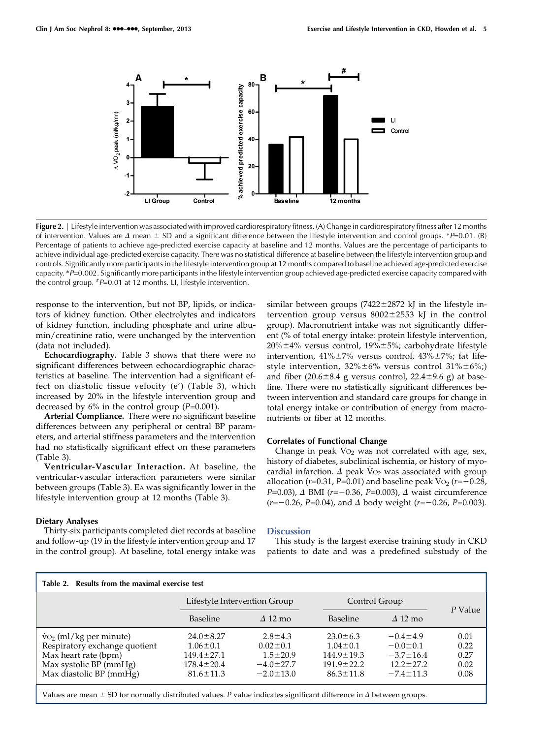

Figure 2. | Lifestyle intervention was associated with improved cardiorespiratory fitness. (A) Change in cardiorespiratory fitness after 12 months of intervention. Values are  $\Delta$  mean  $\pm$  SD and a significant difference between the lifestyle intervention and control groups. \*P=0.01. (B) Percentage of patients to achieve age-predicted exercise capacity at baseline and 12 months. Values are the percentage of participants to achieve individual age-predicted exercise capacity. There was no statistical difference at baseline between the lifestyle intervention group and controls. Significantly more participants in the lifestyle intervention group at 12 months compared to baseline achieved age-predicted exercise capacity. \*P=0.002. Significantly more participants in the lifestyle intervention group achieved age-predicted exercise capacity compared with the control group.  $^{*}P=0.01$  at 12 months. LI, lifestyle intervention.

response to the intervention, but not BP, lipids, or indicators of kidney function. Other electrolytes and indicators of kidney function, including phosphate and urine albumin/creatinine ratio, were unchanged by the intervention (data not included).

Echocardiography. Table 3 shows that there were no significant differences between echocardiographic characteristics at baseline. The intervention had a significant effect on diastolic tissue velocity (e') (Table 3), which increased by 20% in the lifestyle intervention group and decreased by  $6\%$  in the control group ( $P=0.001$ ).

Arterial Compliance. There were no significant baseline differences between any peripheral or central BP parameters, and arterial stiffness parameters and the intervention had no statistically significant effect on these parameters (Table 3).

Ventricular-Vascular Interaction. At baseline, the ventricular-vascular interaction parameters were similar between groups (Table 3). EA was significantly lower in the lifestyle intervention group at 12 months (Table 3).

## Dietary Analyses

Thirty-six participants completed diet records at baseline and follow-up (19 in the lifestyle intervention group and 17 in the control group). At baseline, total energy intake was similar between groups  $(7422 \pm 2872 \text{ kJ})$  in the lifestyle intervention group versus  $8002 \pm 2553$  kJ in the control group). Macronutrient intake was not significantly different (% of total energy intake: protein lifestyle intervention,  $20\% \pm 4\%$  versus control,  $19\% \pm 5\%$ ; carbohydrate lifestyle intervention,  $41\% \pm 7\%$  versus control,  $43\% \pm 7\%$ ; fat lifestyle intervention,  $32\% \pm 6\%$  versus control  $31\% \pm 6\%$ ;) and fiber (20.6 $\pm$ 8.4 g versus control, 22.4 $\pm$ 9.6 g) at baseline. There were no statistically significant differences between intervention and standard care groups for change in total energy intake or contribution of energy from macronutrients or fiber at 12 months.

## Correlates of Functional Change

Change in peak  $Vo_2$  was not correlated with age, sex, history of diabetes, subclinical ischemia, or history of myocardial infarction.  $\Delta$  peak V<sub>O2</sub> was associated with group allocation (r=0.31, P=0.01) and baseline peak  $\dot{V}o_2$  (r=-0.28, P=0.03),  $\Delta$  BMI (r=-0.36, P=0.003),  $\Delta$  waist circumference  $(r=-0.26, P=0.04)$ , and  $\Delta$  body weight (r=-0.26, P=0.003).

## **Discussion**

This study is the largest exercise training study in CKD patients to date and was a predefined substudy of the

| Table 2. Results from the maximal exercise test |                                                                                                                                                                                                                                                                                                            |                 |                  |                 |         |  |  |  |  |
|-------------------------------------------------|------------------------------------------------------------------------------------------------------------------------------------------------------------------------------------------------------------------------------------------------------------------------------------------------------------|-----------------|------------------|-----------------|---------|--|--|--|--|
|                                                 | Lifestyle Intervention Group                                                                                                                                                                                                                                                                               |                 | Control Group    |                 | P Value |  |  |  |  |
|                                                 | <b>Baseline</b>                                                                                                                                                                                                                                                                                            | $\Delta$ 12 mo  | <b>Baseline</b>  | $\Delta$ 12 mo  |         |  |  |  |  |
| $\dot{v}$ O <sub>2</sub> (ml/kg per minute)     | $24.0 \pm 8.27$                                                                                                                                                                                                                                                                                            | $2.8 \pm 4.3$   | $23.0 \pm 6.3$   | $-0.4 \pm 4.9$  | 0.01    |  |  |  |  |
| Respiratory exchange quotient                   | $1.06 \pm 0.1$                                                                                                                                                                                                                                                                                             | $0.02 \pm 0.1$  | $1.04 \pm 0.1$   | $-0.0 \pm 0.1$  | 0.22    |  |  |  |  |
| Max heart rate (bpm)                            | $149.4 \pm 27.1$                                                                                                                                                                                                                                                                                           | $1.5 \pm 20.9$  | $144.9 \pm 19.3$ | $-3.7 \pm 16.4$ | 0.27    |  |  |  |  |
| Max systolic BP (mmHg)                          | $178.4 \pm 20.4$                                                                                                                                                                                                                                                                                           | $-4.0 \pm 27.7$ | $191.9 \pm 22.2$ | $12.2 \pm 27.2$ | 0.02    |  |  |  |  |
| Max diastolic BP (mmHg)                         | $81.6 \pm 11.3$                                                                                                                                                                                                                                                                                            | $-2.0 \pm 13.0$ | $86.3 \pm 11.8$  | $-7.4 \pm 11.3$ | 0.08    |  |  |  |  |
| $x \times 1$<br>$\sim$ $\sim$ $\sim$            | $\mathbf{11}$ , $\mathbf{12}$ , $\mathbf{13}$ , $\mathbf{14}$ , $\mathbf{15}$ , $\mathbf{16}$ , $\mathbf{17}$ , $\mathbf{18}$ , $\mathbf{19}$ , $\mathbf{19}$ , $\mathbf{19}$ , $\mathbf{19}$ , $\mathbf{19}$ , $\mathbf{19}$ , $\mathbf{19}$ , $\mathbf{19}$ , $\mathbf{19}$ , $\mathbf{19}$ , $\mathbf{$ |                 |                  |                 |         |  |  |  |  |

Values are mean  $\pm$  SD for normally distributed values. P value indicates significant difference in  $\Delta$  between groups.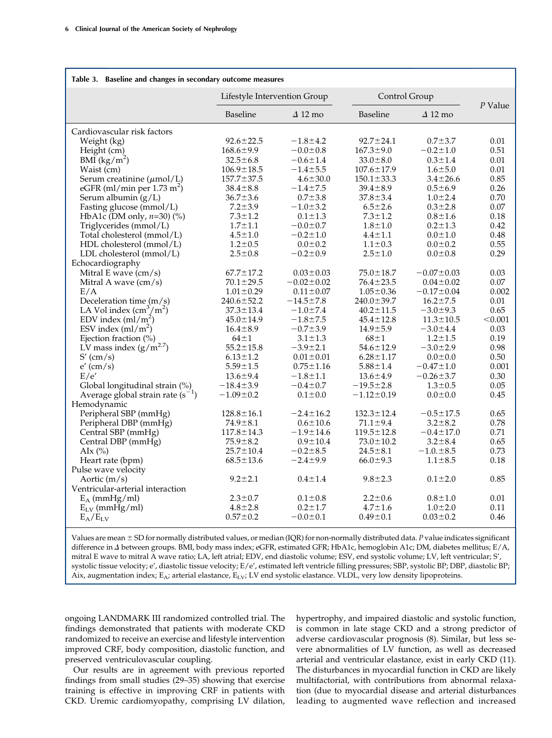| Table 3. Baseline and changes in secondary outcome measures |                                 |                                 |                                 |                                 |              |  |  |  |  |
|-------------------------------------------------------------|---------------------------------|---------------------------------|---------------------------------|---------------------------------|--------------|--|--|--|--|
|                                                             | Lifestyle Intervention Group    |                                 |                                 | Control Group                   |              |  |  |  |  |
|                                                             | <b>Baseline</b>                 | $\Delta$ 12 mo                  | Baseline                        | $\Delta$ 12 mo                  | P Value      |  |  |  |  |
| Cardiovascular risk factors                                 |                                 |                                 |                                 |                                 |              |  |  |  |  |
| Weight (kg)                                                 | $92.6 \pm 22.5$                 | $-1.8 \pm 4.2$                  | $92.7 \pm 24.1$                 | $0.7 + 3.7$                     | 0.01         |  |  |  |  |
| Height (cm)                                                 | $168.6 \pm 9.9$                 | $-0.0 \pm 0.8$                  | $167.3 \pm 9.0$                 | $-0.2 \pm 1.0$                  | 0.51         |  |  |  |  |
| $BMI$ (kg/m <sup>2</sup> )                                  | $32.5 \pm 6.8$                  | $-0.6 \pm 1.4$                  | $33.0 \pm 8.0$                  | $0.3 \pm 1.4$                   | 0.01         |  |  |  |  |
| Waist (cm)                                                  | $106.9 \pm 18.5$                | $-1.4 + 5.5$                    | $107.6 \pm 17.9$                | $1.6 + 5.0$                     | 0.01         |  |  |  |  |
| Serum creatinine $(\mu \text{mol/L})$                       | $157.7 \pm 37.5$                | $4.6 \pm 30.0$                  | $150.1 \pm 33.3$                | $3.4 \pm 26.6$                  | 0.85         |  |  |  |  |
| eGFR (ml/min per $1.73 \text{ m}^2$ )                       | $38.4 \pm 8.8$                  | $-1.4 \pm 7.5$                  | $39.4 \pm 8.9$                  | $0.5 \pm 6.9$                   | 0.26         |  |  |  |  |
| Serum albumin $(g/L)$                                       | $36.7 \pm 3.6$                  | $0.7 + 3.8$                     | $37.8 \pm 3.4$                  | $1.0 \pm 2.4$                   | 0.70         |  |  |  |  |
| Fasting glucose (mmol/L)                                    | $7.2 + 3.9$                     | $-1.0 \pm 3.2$                  | $6.5 + 2.6$                     | $0.3 + 2.8$                     | 0.07         |  |  |  |  |
| HbA1c (DM only, $n=30$ ) (%)                                | $7.3 \pm 1.2$                   | $0.1 \pm 1.3$                   | $7.3 \pm 1.2$                   | $0.8 + 1.6$                     | 0.18         |  |  |  |  |
| Triglycerides (mmol/L)                                      | $1.7 \pm 1.1$                   | $-0.0 \pm 0.7$                  | $1.8 \pm 1.0$                   | $0.2 \pm 1.3$                   | 0.42         |  |  |  |  |
| Total cholesterol (mmol/L)                                  | $4.5 \pm 1.0$                   | $-0.2 \pm 1.0$                  | $4.4 \pm 1.1$                   | $0.0 \pm 1.0$                   | 0.48         |  |  |  |  |
| HDL cholesterol (mmol/L)                                    | $1.2 \pm 0.5$                   | $0.0 \pm 0.2$                   | $1.1 \pm 0.3$                   | $0.0 \pm 0.2$                   | 0.55         |  |  |  |  |
| LDL cholesterol (mmol/L)                                    | $2.5 \pm 0.8$                   | $-0.2 \pm 0.9$                  | $2.5 \pm 1.0$                   | $0.0 \pm 0.8$                   | 0.29         |  |  |  |  |
| Echocardiography                                            |                                 |                                 |                                 |                                 |              |  |  |  |  |
| Mitral E wave $\frac{\text{cm}}{\text{s}}$                  | $67.7 \pm 17.2$                 | $0.03 \pm 0.03$                 | $75.0 \pm 18.7$                 | $-0.07 \pm 0.03$                | 0.03         |  |  |  |  |
| Mitral A wave $\frac{cm}{s}$                                | $70.1 \pm 29.5$                 | $-0.02 \pm 0.02$                | $76.4 \pm 23.5$                 | $0.04 \pm 0.02$                 | 0.07         |  |  |  |  |
| E/A                                                         | $1.01 \pm 0.29$                 | $0.11 \pm 0.07$                 | $1.05 \pm 0.36$                 | $-0.17 \pm 0.04$                | 0.002        |  |  |  |  |
| Deceleration time (m/s)                                     | $240.6 \pm 52.2$                | $-14.5 \pm 7.8$                 | $240.0 \pm 39.7$                | $16.2 \pm 7.5$                  | 0.01         |  |  |  |  |
| LA Vol index $\rm (cm^3/m^2)$                               | $37.3 \pm 13.4$                 | $-1.0 \pm 7.4$                  | $40.2 \pm 11.5$                 | $-3.0 \pm 9.3$                  | 0.65         |  |  |  |  |
| EDV index $(ml/m2)$                                         | $45.0 \pm 14.9$                 | $-1.8 + 7.5$                    | $45.4 \pm 12.8$                 | $11.3 \pm 10.5$                 | < 0.001      |  |  |  |  |
| ESV index $\text{m1/m}^2$ )                                 | $16.4 \pm 8.9$                  | $-0.7 \pm 3.9$                  | $14.9 + 5.9$                    | $-3.0 \pm 4.4$                  | 0.03         |  |  |  |  |
| Ejection fraction (%)                                       | $64 \pm 1$                      | $3.1 \pm 1.3$                   | $68 \pm 1$                      | $1.2 \pm 1.5$                   | 0.19         |  |  |  |  |
| LV mass index $(g/m^{2.7})$                                 | $55.2 \pm 15.8$                 | $-3.9 \pm 2.1$                  | $54.6 \pm 12.9$                 | $-3.0 \pm 2.9$                  | 0.98         |  |  |  |  |
| S'(cm/s)                                                    | $6.13 \pm 1.2$                  | $0.01 \pm 0.01$                 | $6.28 \pm 1.17$                 | $0.0 \pm 0.0$                   | 0.50         |  |  |  |  |
| e'(cm/s)                                                    | $5.59 \pm 1.5$                  | $0.75 \pm 1.16$                 | $5.88 \pm 1.4$                  | $-0.47 \pm 1.0$                 | 0.001        |  |  |  |  |
| E/e'                                                        | $13.6 \pm 9.4$                  | $-1.8 \pm 1.1$                  | $13.6 \pm 4.9$                  | $-0.26 \pm 3.7$                 | 0.30         |  |  |  |  |
| Global longitudinal strain (%)                              | $-18.4 \pm 3.9$                 | $-0.4 \pm 0.7$                  | $-19.5 \pm 2.8$                 | $1.3 \pm 0.5$                   | 0.05         |  |  |  |  |
| Average global strain rate $(s^{-1})$                       | $-1.09 \pm 0.2$                 | $0.1 \pm 0.0$                   | $-1.12 \pm 0.19$                | $0.0 \pm 0.0$                   | 0.45         |  |  |  |  |
| Hemodynamic                                                 |                                 |                                 |                                 |                                 |              |  |  |  |  |
| Peripheral SBP (mmHg)                                       | $128.8 \pm 16.1$                | $-2.4 \pm 16.2$                 | $132.3 \pm 12.4$                | $-0.5 \pm 17.5$                 | 0.65         |  |  |  |  |
| Peripheral DBP (mmHg)                                       | $74.9 \pm 8.1$                  | $0.6 \pm 10.6$                  | $71.1 \pm 9.4$                  | $3.2 \pm 8.2$                   | 0.78         |  |  |  |  |
| Central SBP (mmHg)                                          | $117.8 \pm 14.3$                | $-1.9 \pm 14.6$                 | $119.5 \pm 12.8$                | $-0.4 \pm 17.0$                 | 0.71         |  |  |  |  |
| Central DBP (mmHg)                                          | $75.9 \pm 8.2$                  | $0.9 \pm 10.4$                  | $73.0 \pm 10.2$                 | $3.2 \pm 8.4$                   | 0.65         |  |  |  |  |
| AIx $(\%)$                                                  | $25.7 \pm 10.4$                 | $-0.2 \pm 8.5$                  | $24.5 \pm 8.1$                  | $-1.0 \pm 8.5$                  | 0.73         |  |  |  |  |
| Heart rate (bpm)                                            | $68.5 \pm 13.6$                 | $-2.4 + 9.9$                    | $66.0 \pm 9.3$                  | $1.1 \pm 8.5$                   | 0.18         |  |  |  |  |
| Pulse wave velocity                                         | $9.2 \pm 2.1$                   | $0.4 \pm 1.4$                   | $9.8 \pm 2.3$                   | $0.1 \pm 2.0$                   | 0.85         |  |  |  |  |
| Aortic $(m/s)$                                              |                                 |                                 |                                 |                                 |              |  |  |  |  |
| Ventricular-arterial interaction                            |                                 |                                 |                                 |                                 |              |  |  |  |  |
| $E_A$ (mmHg/ml)                                             | $2.3 \pm 0.7$                   | $0.1 \pm 0.8$                   | $2.2 \pm 0.6$                   | $0.8 + 1.0$                     | 0.01         |  |  |  |  |
| $E_{LV}$ (mmHg/ml)                                          | $4.8 \pm 2.8$<br>$0.57 \pm 0.2$ | $0.2 \pm 1.7$<br>$-0.0 \pm 0.1$ | $4.7 \pm 1.6$<br>$0.49 \pm 0.1$ | $1.0 \pm 2.0$<br>$0.03 \pm 0.2$ | 0.11<br>0.46 |  |  |  |  |
| $E_A/E_{LV}$                                                |                                 |                                 |                                 |                                 |              |  |  |  |  |

Values are mean  $\pm$  SD for normally distributed values, or median (IQR) for non-normally distributed data. P value indicates significant difference in  $\Delta$  between groups. BMI, body mass index; eGFR, estimated GFR; HbA1c, hemoglobin A1c; DM, diabetes mellitus; E/A, mitral E wave to mitral A wave ratio; LA, left atrial; EDV, end diastolic volume; ESV, end systolic volume; LV, left ventricular; S', systolic tissue velocity; e', diastolic tissue velocity; E/e', estimated left ventricle filling pressures; SBP, systolic BP; DBP, diastolic BP; Aix, augmentation index;  $E_A$ ; arterial elastance,  $E_{LV}$ ; LV end systolic elastance. VLDL, very low density lipoproteins.

ongoing LANDMARK III randomized controlled trial. The findings demonstrated that patients with moderate CKD randomized to receive an exercise and lifestyle intervention improved CRF, body composition, diastolic function, and preserved ventriculovascular coupling.

Our results are in agreement with previous reported findings from small studies (29–35) showing that exercise training is effective in improving CRF in patients with CKD. Uremic cardiomyopathy, comprising LV dilation, hypertrophy, and impaired diastolic and systolic function, is common in late stage CKD and a strong predictor of adverse cardiovascular prognosis (8). Similar, but less severe abnormalities of LV function, as well as decreased arterial and ventricular elastance, exist in early CKD (11). The disturbances in myocardial function in CKD are likely multifactorial, with contributions from abnormal relaxation (due to myocardial disease and arterial disturbances leading to augmented wave reflection and increased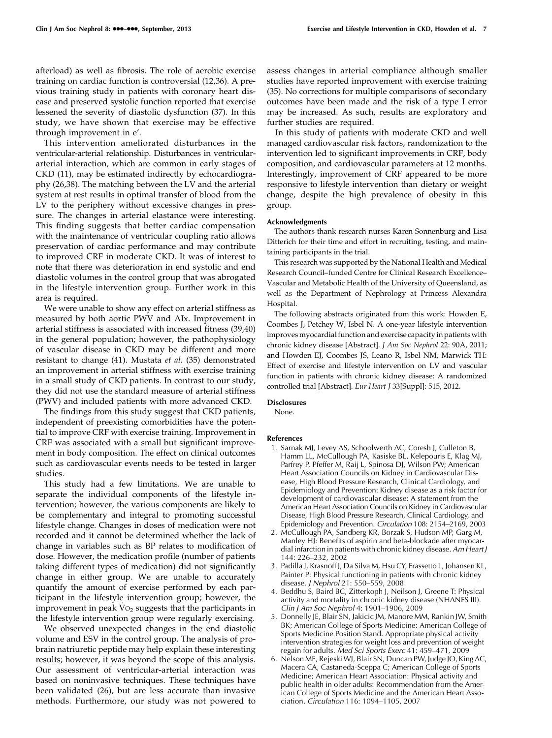afterload) as well as fibrosis. The role of aerobic exercise training on cardiac function is controversial (12,36). A previous training study in patients with coronary heart disease and preserved systolic function reported that exercise lessened the severity of diastolic dysfunction (37). In this study, we have shown that exercise may be effective through improvement in e'.

This intervention ameliorated disturbances in the ventricular-arterial relationship. Disturbances in ventriculararterial interaction, which are common in early stages of CKD (11), may be estimated indirectly by echocardiography (26,38). The matching between the LV and the arterial system at rest results in optimal transfer of blood from the LV to the periphery without excessive changes in pressure. The changes in arterial elastance were interesting. This finding suggests that better cardiac compensation with the maintenance of ventricular coupling ratio allows preservation of cardiac performance and may contribute to improved CRF in moderate CKD. It was of interest to note that there was deterioration in end systolic and end diastolic volumes in the control group that was abrogated in the lifestyle intervention group. Further work in this area is required.

We were unable to show any effect on arterial stiffness as measured by both aortic PWV and AIx. Improvement in arterial stiffness is associated with increased fitness (39,40) in the general population; however, the pathophysiology of vascular disease in CKD may be different and more resistant to change (41). Mustata et al. (35) demonstrated an improvement in arterial stiffness with exercise training in a small study of CKD patients. In contrast to our study, they did not use the standard measure of arterial stiffness (PWV) and included patients with more advanced CKD.

The findings from this study suggest that CKD patients, independent of preexisting comorbidities have the potential to improve CRF with exercise training. Improvement in CRF was associated with a small but significant improvement in body composition. The effect on clinical outcomes such as cardiovascular events needs to be tested in larger studies.

This study had a few limitations. We are unable to separate the individual components of the lifestyle intervention; however, the various components are likely to be complementary and integral to promoting successful lifestyle change. Changes in doses of medication were not recorded and it cannot be determined whether the lack of change in variables such as BP relates to modification of dose. However, the medication profile (number of patients taking different types of medication) did not significantly change in either group. We are unable to accurately quantify the amount of exercise performed by each participant in the lifestyle intervention group; however, the improvement in peak  $\rm\dot{V}o_{2}$  suggests that the participants in the lifestyle intervention group were regularly exercising.

We observed unexpected changes in the end diastolic volume and ESV in the control group. The analysis of probrain natriuretic peptide may help explain these interesting results; however, it was beyond the scope of this analysis. Our assessment of ventricular-arterial interaction was based on noninvasive techniques. These techniques have been validated (26), but are less accurate than invasive methods. Furthermore, our study was not powered to

assess changes in arterial compliance although smaller studies have reported improvement with exercise training (35). No corrections for multiple comparisons of secondary outcomes have been made and the risk of a type I error may be increased. As such, results are exploratory and further studies are required.

In this study of patients with moderate CKD and well managed cardiovascular risk factors, randomization to the intervention led to significant improvements in CRF, body composition, and cardiovascular parameters at 12 months. Interestingly, improvement of CRF appeared to be more responsive to lifestyle intervention than dietary or weight change, despite the high prevalence of obesity in this group.

## Acknowledgments

The authors thank research nurses Karen Sonnenburg and Lisa Ditterich for their time and effort in recruiting, testing, and maintaining participants in the trial.

This research was supported by the National Health and Medical Research Council–funded Centre for Clinical Research Excellence– Vascular and Metabolic Health of the University of Queensland, as well as the Department of Nephrology at Princess Alexandra Hospital.

The following abstracts originated from this work: Howden E, Coombes J, Petchey W, Isbel N. A one-year lifestyle intervention improves myocardial function and exercise capacity in patients with chronic kidney disease [Abstract]. J Am Soc Nephrol 22: 90A, 2011; and Howden EJ, Coombes JS, Leano R, Isbel NM, Marwick TH: Effect of exercise and lifestyle intervention on LV and vascular function in patients with chronic kidney disease: A randomized controlled trial [Abstract]. Eur Heart J 33[Suppl]: 515, 2012.

#### Disclosures

None.

#### References

- 1. Sarnak MJ, Levey AS, Schoolwerth AC, Coresh J, Culleton B, Hamm LL, McCullough PA, Kasiske BL, Kelepouris E, Klag MJ, Parfrey P, Pfeffer M, Raij L, Spinosa DJ, Wilson PW; American Heart Association Councils on Kidney in Cardiovascular Disease, High Blood Pressure Research, Clinical Cardiology, and Epidemiology and Prevention: Kidney disease as a risk factor for development of cardiovascular disease: A statement from the American Heart Association Councils on Kidney in Cardiovascular Disease, High Blood Pressure Research, Clinical Cardiology, and Epidemiology and Prevention. Circulation 108: 2154–2169, 2003
- 2. McCullough PA, Sandberg KR, Borzak S, Hudson MP, Garg M, Manley HJ: Benefits of aspirin and beta-blockade after myocardial infarction in patients with chronic kidney disease. Am Heart J 144: 226–232, 2002
- 3. Padilla J, Krasnoff J, Da Silva M, Hsu CY, Frassetto L, Johansen KL, Painter P: Physical functioning in patients with chronic kidney disease. J Nephrol 21: 550–559, 2008
- 4. Beddhu S, Baird BC, Zitterkoph J, Neilson J, Greene T: Physical activity and mortality in chronic kidney disease (NHANES III). Clin J Am Soc Nephrol 4: 1901–1906, 2009
- 5. Donnelly JE, Blair SN, Jakicic JM, Manore MM, Rankin JW, Smith BK; American College of Sports Medicine: American College of Sports Medicine Position Stand. Appropriate physical activity intervention strategies for weight loss and prevention of weight regain for adults. Med Sci Sports Exerc 41: 459–471, 2009
- 6. Nelson ME, RejeskiWJ, Blair SN, Duncan PW, Judge JO, King AC, Macera CA, Castaneda-Sceppa C; American College of Sports Medicine; American Heart Association: Physical activity and public health in older adults: Recommendation from the American College of Sports Medicine and the American Heart Association. Circulation 116: 1094–1105, 2007